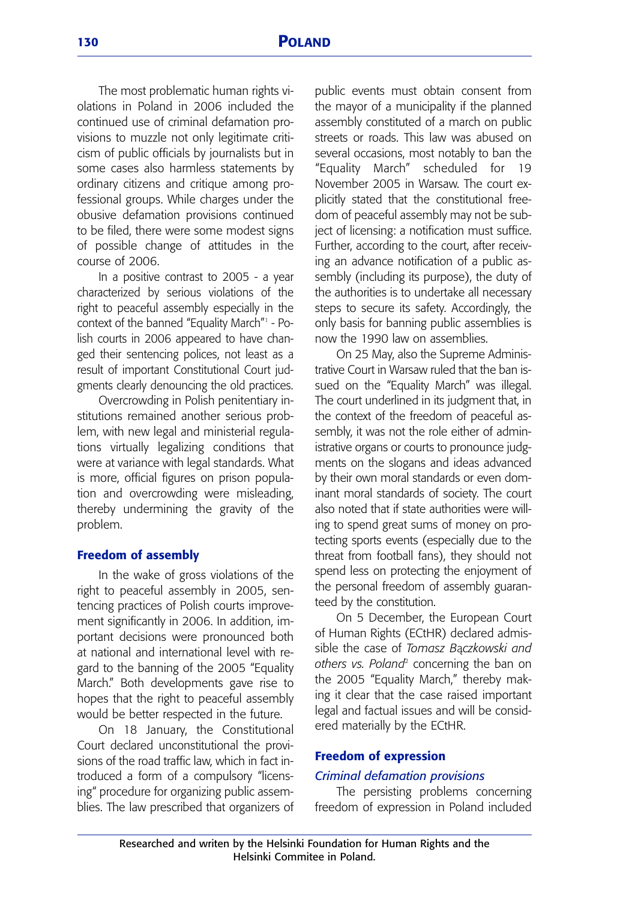The most problematic human rights violations in Poland in 2006 included the continued use of criminal defamation provisions to muzzle not only legitimate criticism of public officials by journalists but in some cases also harmless statements by ordinary citizens and critique among professional groups. While charges under the obusive defamation provisions continued to be filed, there were some modest signs of possible change of attitudes in the course of 2006.

In a positive contrast to 2005 - a year characterized by serious violations of the right to peaceful assembly especially in the context of the banned "Equality March"<sup>1</sup> - Polish courts in 2006 appeared to have changed their sentencing polices, not least as a result of important Constitutional Court judgments clearly denouncing the old practices.

Overcrowding in Polish penitentiary institutions remained another serious problem, with new legal and ministerial regulations virtually legalizing conditions that were at variance with legal standards. What is more, official figures on prison population and overcrowding were misleading, thereby undermining the gravity of the problem.

## **Freedom of assembly**

In the wake of gross violations of the right to peaceful assembly in 2005, sentencing practices of Polish courts improvement significantly in 2006. In addition, important decisions were pronounced both at national and international level with regard to the banning of the 2005 "Equality March." Both developments gave rise to hopes that the right to peaceful assembly would be better respected in the future.

On 18 January, the Constitutional Court declared unconstitutional the provisions of the road traffic law, which in fact introduced a form of a compulsory "licensing" procedure for organizing public assemblies. The law prescribed that organizers of public events must obtain consent from the mayor of a municipality if the planned assembly constituted of a march on public streets or roads. This law was abused on several occasions, most notably to ban the "Equality March" scheduled for 19 November 2005 in Warsaw. The court explicitly stated that the constitutional freedom of peaceful assembly may not be subject of licensing: a notification must suffice. Further, according to the court, after receiving an advance notification of a public assembly (including its purpose), the duty of the authorities is to undertake all necessary steps to secure its safety. Accordingly, the only basis for banning public assemblies is now the 1990 law on assemblies.

On 25 May, also the Supreme Administrative Court in Warsaw ruled that the ban issued on the "Equality March" was illegal. The court underlined in its judgment that, in the context of the freedom of peaceful assembly, it was not the role either of administrative organs or courts to pronounce judgments on the slogans and ideas advanced by their own moral standards or even dominant moral standards of society. The court also noted that if state authorities were willing to spend great sums of money on protecting sports events (especially due to the threat from football fans), they should not spend less on protecting the enjoyment of the personal freedom of assembly guaranteed by the constitution.

On 5 December, the European Court of Human Rights (ECtHR) declared admissible the case of *Tomasz B*ą*czkowski and others vs. Poland*<sup>2</sup> concerning the ban on the 2005 "Equality March," thereby making it clear that the case raised important legal and factual issues and will be considered materially by the ECtHR.

#### **Freedom of expression**

#### *Criminal defamation provisions*

The persisting problems concerning freedom of expression in Poland included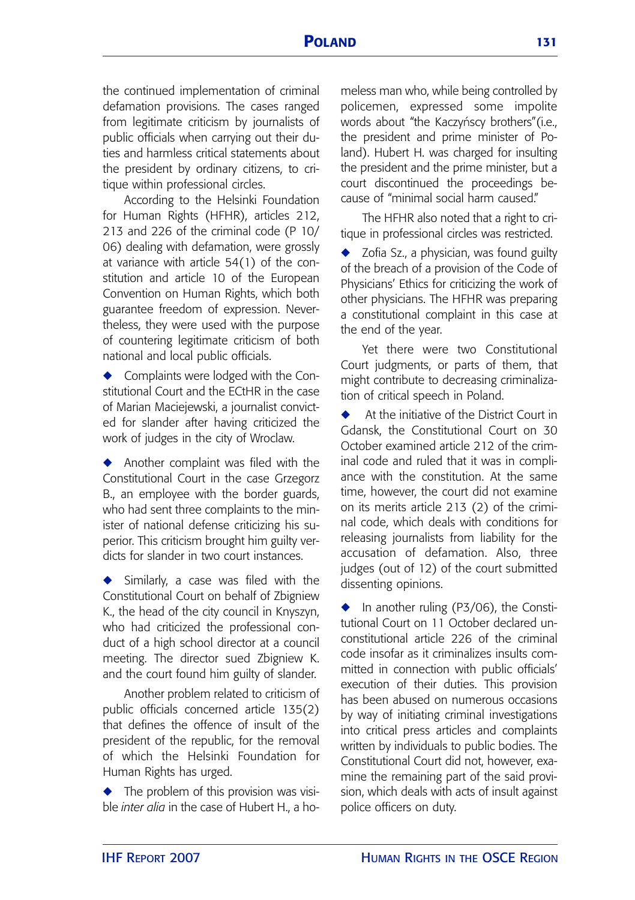the continued implementation of criminal defamation provisions. The cases ranged from legitimate criticism by journalists of public officials when carrying out their duties and harmless critical statements about the president by ordinary citizens, to critique within professional circles.

According to the Helsinki Foundation for Human Rights (HFHR), articles 212, 213 and 226 of the criminal code (P 10/ 06) dealing with defamation, were grossly at variance with article 54(1) of the constitution and article 10 of the European Convention on Human Rights, which both guarantee freedom of expression. Nevertheless, they were used with the purpose of countering legitimate criticism of both national and local public officials.

◆ Complaints were lodged with the Constitutional Court and the ECtHR in the case of Marian Maciejewski, a journalist convicted for slander after having criticized the work of judges in the city of Wroclaw.

◆ Another complaint was filed with the Constitutional Court in the case Grzegorz B., an employee with the border guards, who had sent three complaints to the minister of national defense criticizing his superior. This criticism brought him guilty verdicts for slander in two court instances.

Similarly, a case was filed with the Constitutional Court on behalf of Zbigniew K., the head of the city council in Knyszyn, who had criticized the professional conduct of a high school director at a council meeting. The director sued Zbigniew K. and the court found him guilty of slander.

Another problem related to criticism of public officials concerned article 135(2) that defines the offence of insult of the president of the republic, for the removal of which the Helsinki Foundation for Human Rights has urged.

◆ The problem of this provision was visible *inter alia* in the case of Hubert H., a homeless man who, while being controlled by policemen, expressed some impolite words about "the Kaczyńscy brothers"(i.e., the president and prime minister of Poland). Hubert H. was charged for insulting the president and the prime minister, but a court discontinued the proceedings because of "minimal social harm caused."

The HFHR also noted that a right to critique in professional circles was restricted.

Zofia Sz., a physician, was found guilty of the breach of a provision of the Code of Physicians' Ethics for criticizing the work of other physicians. The HFHR was preparing a constitutional complaint in this case at the end of the year.

Yet there were two Constitutional Court judgments, or parts of them, that might contribute to decreasing criminalization of critical speech in Poland.

◆ At the initiative of the District Court in Gdansk, the Constitutional Court on 30 October examined article 212 of the criminal code and ruled that it was in compliance with the constitution. At the same time, however, the court did not examine on its merits article 213 (2) of the criminal code, which deals with conditions for releasing journalists from liability for the accusation of defamation. Also, three judges (out of 12) of the court submitted dissenting opinions.

In another ruling (P3/06), the Constitutional Court on 11 October declared unconstitutional article 226 of the criminal code insofar as it criminalizes insults committed in connection with public officials' execution of their duties. This provision has been abused on numerous occasions by way of initiating criminal investigations into critical press articles and complaints written by individuals to public bodies. The Constitutional Court did not, however, examine the remaining part of the said provision, which deals with acts of insult against police officers on duty.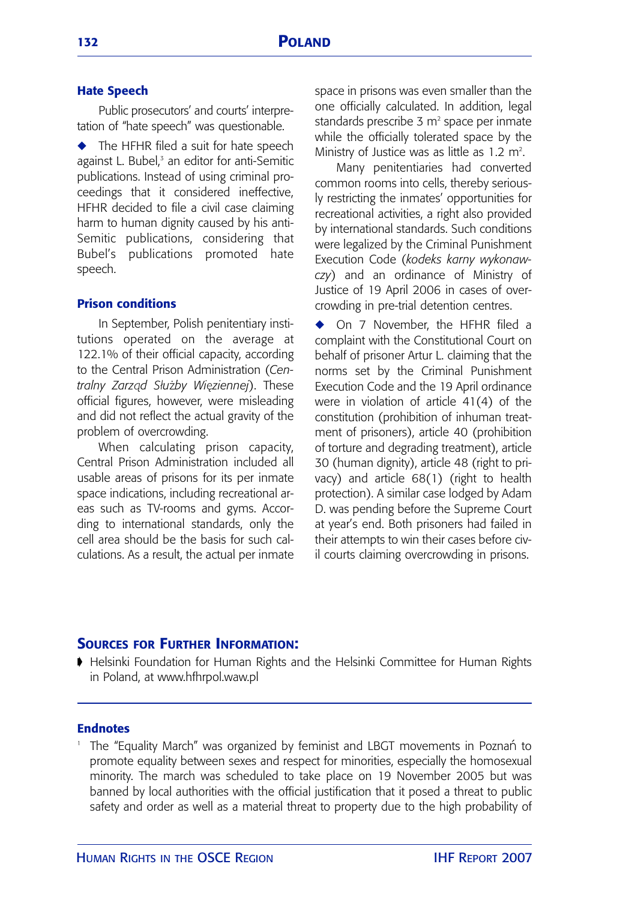## **Hate Speech**

Public prosecutors' and courts' interpretation of "hate speech" was questionable.

◆ The HFHR filed a suit for hate speech against L. Bubel,<sup>3</sup> an editor for anti-Semitic publications. Instead of using criminal proceedings that it considered ineffective, HFHR decided to file a civil case claiming harm to human dignity caused by his anti-Semitic publications, considering that Bubel's publications promoted hate speech.

## **Prison conditions**

In September, Polish penitentiary institutions operated on the average at 122.1% of their official capacity, according to the Central Prison Administration (*Centralny Zarząd Słu*ż*by Więziennej*). These official figures, however, were misleading and did not reflect the actual gravity of the problem of overcrowding.

When calculating prison capacity, Central Prison Administration included all usable areas of prisons for its per inmate space indications, including recreational areas such as TV-rooms and gyms. According to international standards, only the cell area should be the basis for such calculations. As a result, the actual per inmate space in prisons was even smaller than the one officially calculated. In addition, legal standards prescribe  $3 \text{ m}^2$  space per inmate while the officially tolerated space by the Ministry of Justice was as little as 1.2  $\mathrm{m}^2$ .

Many penitentiaries had converted common rooms into cells, thereby seriously restricting the inmates' opportunities for recreational activities, a right also provided by international standards. Such conditions were legalized by the Criminal Punishment Execution Code (*kodeks karny wykonawczy*) and an ordinance of Ministry of Justice of 19 April 2006 in cases of overcrowding in pre-trial detention centres.

On 7 November, the HFHR filed a complaint with the Constitutional Court on behalf of prisoner Artur L. claiming that the norms set by the Criminal Punishment Execution Code and the 19 April ordinance were in violation of article 41(4) of the constitution (prohibition of inhuman treatment of prisoners), article 40 (prohibition of torture and degrading treatment), article 30 (human dignity), article 48 (right to privacy) and article 68(1) (right to health protection). A similar case lodged by Adam D. was pending before the Supreme Court at year's end. Both prisoners had failed in their attempts to win their cases before civil courts claiming overcrowding in prisons.

# **SOURCES FOR FURTHER INFORMATION:**

➧ Helsinki Foundation for Human Rights and the Helsinki Committee for Human Rights in Poland, at www.hfhrpol.waw.pl

## **Endnotes**

<sup>1</sup> The "Equality March" was organized by feminist and LBGT movements in Poznań to promote equality between sexes and respect for minorities, especially the homosexual minority. The march was scheduled to take place on 19 November 2005 but was banned by local authorities with the official justification that it posed a threat to public safety and order as well as a material threat to property due to the high probability of